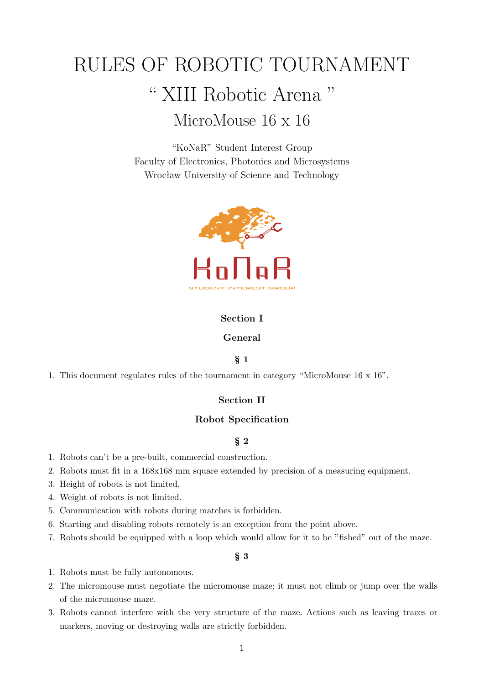# RULES OF ROBOTIC TOURNAMENT " XIII Robotic Arena " MicroMouse 16 x 16

"KoNaR" Student Interest Group Faculty of Electronics, Photonics and Microsystems Wrocław University of Science and Technology



# **Section I**

# **General**

## § **1**

1. This document regulates rules of the tournament in category "MicroMouse 16 x 16".

## **Section II**

# **Robot Specification**

# § **2**

- 1. Robots can't be a pre-built, commercial construction.
- 2. Robots must fit in a 168x168 mm square extended by precision of a measuring equipment.
- 3. Height of robots is not limited.
- 4. Weight of robots is not limited.
- 5. Communication with robots during matches is forbidden.
- 6. Starting and disabling robots remotely is an exception from the point above.
- 7. Robots should be equipped with a loop which would allow for it to be "fished" out of the maze.

# § **3**

- 1. Robots must be fully autonomous.
- 2. The micromouse must negotiate the micromouse maze; it must not climb or jump over the walls of the micromouse maze.
- 3. Robots cannot interfere with the very structure of the maze. Actions such as leaving traces or markers, moving or destroying walls are strictly forbidden.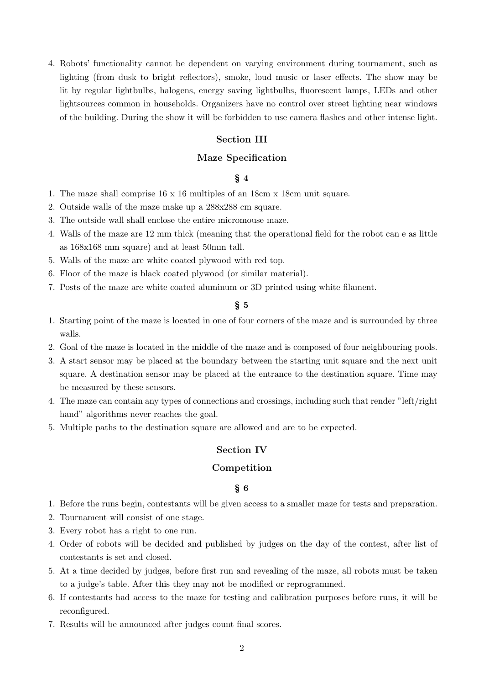4. Robots' functionality cannot be dependent on varying environment during tournament, such as lighting (from dusk to bright reflectors), smoke, loud music or laser effects. The show may be lit by regular lightbulbs, halogens, energy saving lightbulbs, fluorescent lamps, LEDs and other lightsources common in households. Organizers have no control over street lighting near windows of the building. During the show it will be forbidden to use camera flashes and other intense light.

#### **Section III**

# **Maze Specification**

# § **4**

- 1. The maze shall comprise 16 x 16 multiples of an 18cm x 18cm unit square.
- 2. Outside walls of the maze make up a 288x288 cm square.
- 3. The outside wall shall enclose the entire micromouse maze.
- 4. Walls of the maze are 12 mm thick (meaning that the operational field for the robot can e as little as 168x168 mm square) and at least 50mm tall.
- 5. Walls of the maze are white coated plywood with red top.
- 6. Floor of the maze is black coated plywood (or similar material).
- 7. Posts of the maze are white coated aluminum or 3D printed using white filament.

#### § **5**

- 1. Starting point of the maze is located in one of four corners of the maze and is surrounded by three walls.
- 2. Goal of the maze is located in the middle of the maze and is composed of four neighbouring pools.
- 3. A start sensor may be placed at the boundary between the starting unit square and the next unit square. A destination sensor may be placed at the entrance to the destination square. Time may be measured by these sensors.
- 4. The maze can contain any types of connections and crossings, including such that render "left/right hand" algorithms never reaches the goal.
- 5. Multiple paths to the destination square are allowed and are to be expected.

# **Section IV**

## **Competition**

#### § **6**

- 1. Before the runs begin, contestants will be given access to a smaller maze for tests and preparation.
- 2. Tournament will consist of one stage.
- 3. Every robot has a right to one run.
- 4. Order of robots will be decided and published by judges on the day of the contest, after list of contestants is set and closed.
- 5. At a time decided by judges, before first run and revealing of the maze, all robots must be taken to a judge's table. After this they may not be modified or reprogrammed.
- 6. If contestants had access to the maze for testing and calibration purposes before runs, it will be reconfigured.
- 7. Results will be announced after judges count final scores.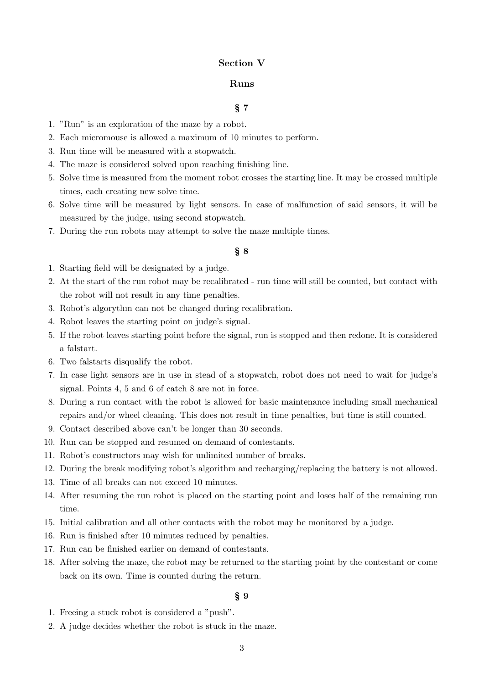#### **Section V**

## **Runs**

#### § **7**

- 1. "Run" is an exploration of the maze by a robot.
- 2. Each micromouse is allowed a maximum of 10 minutes to perform.
- 3. Run time will be measured with a stopwatch.
- 4. The maze is considered solved upon reaching finishing line.
- 5. Solve time is measured from the moment robot crosses the starting line. It may be crossed multiple times, each creating new solve time.
- 6. Solve time will be measured by light sensors. In case of malfunction of said sensors, it will be measured by the judge, using second stopwatch.
- 7. During the run robots may attempt to solve the maze multiple times.

## § **8**

- 1. Starting field will be designated by a judge.
- 2. At the start of the run robot may be recalibrated run time will still be counted, but contact with the robot will not result in any time penalties.
- 3. Robot's algorythm can not be changed during recalibration.
- 4. Robot leaves the starting point on judge's signal.
- 5. If the robot leaves starting point before the signal, run is stopped and then redone. It is considered a falstart.
- 6. Two falstarts disqualify the robot.
- 7. In case light sensors are in use in stead of a stopwatch, robot does not need to wait for judge's signal. Points 4, 5 and 6 of catch 8 are not in force.
- 8. During a run contact with the robot is allowed for basic maintenance including small mechanical repairs and/or wheel cleaning. This does not result in time penalties, but time is still counted.
- 9. Contact described above can't be longer than 30 seconds.
- 10. Run can be stopped and resumed on demand of contestants.
- 11. Robot's constructors may wish for unlimited number of breaks.
- 12. During the break modifying robot's algorithm and recharging/replacing the battery is not allowed.
- 13. Time of all breaks can not exceed 10 minutes.
- 14. After resuming the run robot is placed on the starting point and loses half of the remaining run time.
- 15. Initial calibration and all other contacts with the robot may be monitored by a judge.
- 16. Run is finished after 10 minutes reduced by penalties.
- 17. Run can be finished earlier on demand of contestants.
- 18. After solving the maze, the robot may be returned to the starting point by the contestant or come back on its own. Time is counted during the return.

#### § **9**

- 1. Freeing a stuck robot is considered a "push".
- 2. A judge decides whether the robot is stuck in the maze.